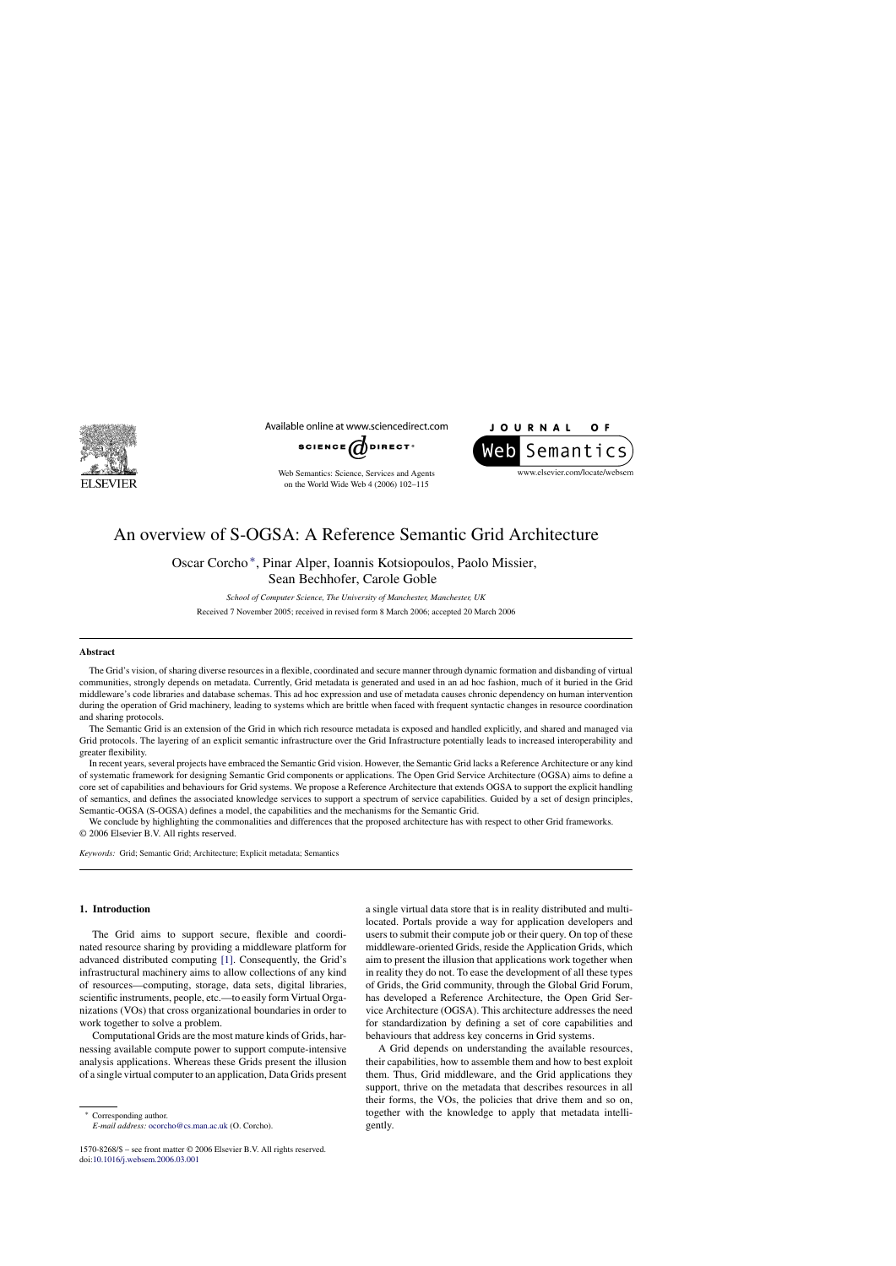

Available online at www.sciencedirect.com



Web Semantics: Science, Services and Agents on the World Wide Web 4 (2006) 102–115



# An overview of S-OGSA: A Reference Semantic Grid Architecture

Oscar Corcho ∗, Pinar Alper, Ioannis Kotsiopoulos, Paolo Missier, Sean Bechhofer, Carole Goble

*School of Computer Science, The University of Manchester, Manchester, UK* Received 7 November 2005; received in revised form 8 March 2006; accepted 20 March 2006

#### **Abstract**

The Grid's vision, of sharing diverse resources in a flexible, coordinated and secure manner through dynamic formation and disbanding of virtual communities, strongly depends on metadata. Currently, Grid metadata is generated and used in an ad hoc fashion, much of it buried in the Grid middleware's code libraries and database schemas. This ad hoc expression and use of metadata causes chronic dependency on human intervention during the operation of Grid machinery, leading to systems which are brittle when faced with frequent syntactic changes in resource coordination and sharing protocols.

The Semantic Grid is an extension of the Grid in which rich resource metadata is exposed and handled explicitly, and shared and managed via Grid protocols. The layering of an explicit semantic infrastructure over the Grid Infrastructure potentially leads to increased interoperability and greater flexibility.

In recent years, several projects have embraced the Semantic Grid vision. However, the Semantic Grid lacks a Reference Architecture or any kind of systematic framework for designing Semantic Grid components or applications. The Open Grid Service Architecture (OGSA) aims to define a core set of capabilities and behaviours for Grid systems. We propose a Reference Architecture that extends OGSA to support the explicit handling of semantics, and defines the associated knowledge services to support a spectrum of service capabilities. Guided by a set of design principles, Semantic-OGSA (S-OGSA) defines a model, the capabilities and the mechanisms for the Semantic Grid.

We conclude by highlighting the commonalities and differences that the proposed architecture has with respect to other Grid frameworks. © 2006 Elsevier B.V. All rights reserved.

*Keywords:* Grid; Semantic Grid; Architecture; Explicit metadata; Semantics

### **1. Introduction**

The Grid aims to support secure, flexible and coordinated resource sharing by providing a middleware platform for advanced distributed computing [\[1\].](#page-12-0) Consequently, the Grid's infrastructural machinery aims to allow collections of any kind of resources—computing, storage, data sets, digital libraries, scientific instruments, people, etc.—to easily form Virtual Organizations (VOs) that cross organizational boundaries in order to work together to solve a problem.

Computational Grids are the most mature kinds of Grids, harnessing available compute power to support compute-intensive analysis applications. Whereas these Grids present the illusion of a single virtual computer to an application, Data Grids present

Corresponding author. *E-mail address:* [ocorcho@cs.man.ac.uk](mailto:ocorcho@cs.man.ac.uk) (O. Corcho).

1570-8268/\$ – see front matter © 2006 Elsevier B.V. All rights reserved. doi[:10.1016/j.websem.2006.03.001](dx.doi.org/10.1016/j.websem.2006.03.001)

a single virtual data store that is in reality distributed and multilocated. Portals provide a way for application developers and users to submit their compute job or their query. On top of these middleware-oriented Grids, reside the Application Grids, which aim to present the illusion that applications work together when in reality they do not. To ease the development of all these types of Grids, the Grid community, through the Global Grid Forum, has developed a Reference Architecture, the Open Grid Service Architecture (OGSA). This architecture addresses the need for standardization by defining a set of core capabilities and behaviours that address key concerns in Grid systems.

A Grid depends on understanding the available resources, their capabilities, how to assemble them and how to best exploit them. Thus, Grid middleware, and the Grid applications they support, thrive on the metadata that describes resources in all their forms, the VOs, the policies that drive them and so on, together with the knowledge to apply that metadata intelligently.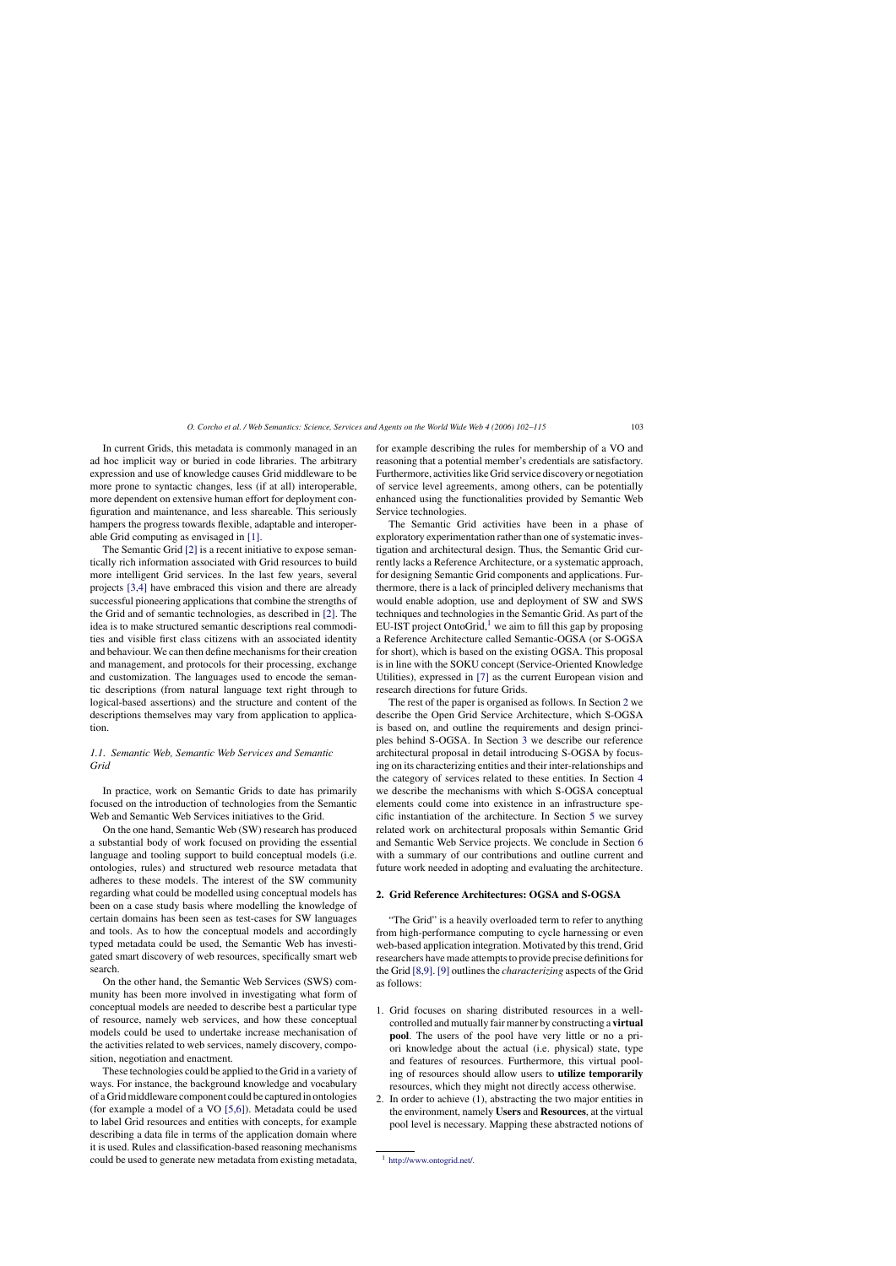<span id="page-1-0"></span>In current Grids, this metadata is commonly managed in an ad hoc implicit way or buried in code libraries. The arbitrary expression and use of knowledge causes Grid middleware to be more prone to syntactic changes, less (if at all) interoperable, more dependent on extensive human effort for deployment configuration and maintenance, and less shareable. This seriously hampers the progress towards flexible, adaptable and interoperable Grid computing as envisaged in [\[1\].](#page-12-0)

The Semantic Grid [\[2\]](#page-12-0) is a recent initiative to expose semantically rich information associated with Grid resources to build more intelligent Grid services. In the last few years, several projects [\[3,4\]](#page-12-0) have embraced this vision and there are already successful pioneering applications that combine the strengths of the Grid and of semantic technologies, as described in [\[2\].](#page-12-0) The idea is to make structured semantic descriptions real commodities and visible first class citizens with an associated identity and behaviour. We can then define mechanisms for their creation and management, and protocols for their processing, exchange and customization. The languages used to encode the semantic descriptions (from natural language text right through to logical-based assertions) and the structure and content of the descriptions themselves may vary from application to application.

## *1.1. Semantic Web, Semantic Web Services and Semantic Grid*

In practice, work on Semantic Grids to date has primarily focused on the introduction of technologies from the Semantic Web and Semantic Web Services initiatives to the Grid.

On the one hand, Semantic Web (SW) research has produced a substantial body of work focused on providing the essential language and tooling support to build conceptual models (i.e. ontologies, rules) and structured web resource metadata that adheres to these models. The interest of the SW community regarding what could be modelled using conceptual models has been on a case study basis where modelling the knowledge of certain domains has been seen as test-cases for SW languages and tools. As to how the conceptual models and accordingly typed metadata could be used, the Semantic Web has investigated smart discovery of web resources, specifically smart web search.

On the other hand, the Semantic Web Services (SWS) community has been more involved in investigating what form of conceptual models are needed to describe best a particular type of resource, namely web services, and how these conceptual models could be used to undertake increase mechanisation of the activities related to web services, namely discovery, composition, negotiation and enactment.

These technologies could be applied to the Grid in a variety of ways. For instance, the background knowledge and vocabulary of a Grid middleware component could be captured in ontologies (for example a model of a VO [\[5,6\]\).](#page-12-0) Metadata could be used to label Grid resources and entities with concepts, for example describing a data file in terms of the application domain where it is used. Rules and classification-based reasoning mechanisms could be used to generate new metadata from existing metadata,

for example describing the rules for membership of a VO and reasoning that a potential member's credentials are satisfactory. Furthermore, activities like Grid service discovery or negotiation of service level agreements, among others, can be potentially enhanced using the functionalities provided by Semantic Web Service technologies.

The Semantic Grid activities have been in a phase of exploratory experimentation rather than one of systematic investigation and architectural design. Thus, the Semantic Grid currently lacks a Reference Architecture, or a systematic approach, for designing Semantic Grid components and applications. Furthermore, there is a lack of principled delivery mechanisms that would enable adoption, use and deployment of SW and SWS techniques and technologies in the Semantic Grid. As part of the EU-IST project OntoGrid, $<sup>1</sup>$  we aim to fill this gap by proposing</sup> a Reference Architecture called Semantic-OGSA (or S-OGSA for short), which is based on the existing OGSA. This proposal is in line with the SOKU concept (Service-Oriented Knowledge Utilities), expressed in [\[7\]](#page-12-0) as the current European vision and research directions for future Grids.

The rest of the paper is organised as follows. In Section 2 we describe the Open Grid Service Architecture, which S-OGSA is based on, and outline the requirements and design principles behind S-OGSA. In Section [3](#page-3-0) we describe our reference architectural proposal in detail introducing S-OGSA by focusing on its characterizing entities and their inter-relationships and the category of services related to these entities. In Section [4](#page-7-0) we describe the mechanisms with which S-OGSA conceptual elements could come into existence in an infrastructure specific instantiation of the architecture. In Section [5](#page-10-0) we survey related work on architectural proposals within Semantic Grid and Semantic Web Service projects. We conclude in Section [6](#page-11-0) with a summary of our contributions and outline current and future work needed in adopting and evaluating the architecture.

## **2. Grid Reference Architectures: OGSA and S-OGSA**

"The Grid" is a heavily overloaded term to refer to anything from high-performance computing to cycle harnessing or even web-based application integration. Motivated by this trend, Grid researchers have made attempts to provide precise definitions for the Grid [\[8,9\].](#page-12-0) [\[9\]](#page-13-0) outlines the *characterizing* aspects of the Grid as follows:

- 1. Grid focuses on sharing distributed resources in a wellcontrolled and mutually fair manner by constructing a **virtual pool**. The users of the pool have very little or no a priori knowledge about the actual (i.e. physical) state, type and features of resources. Furthermore, this virtual pooling of resources should allow users to **utilize temporarily** resources, which they might not directly access otherwise.
- 2. In order to achieve (1), abstracting the two major entities in the environment, namely **Users** and **Resources**, at the virtual pool level is necessary. Mapping these abstracted notions of

<sup>1</sup> <http://www.ontogrid.net/>.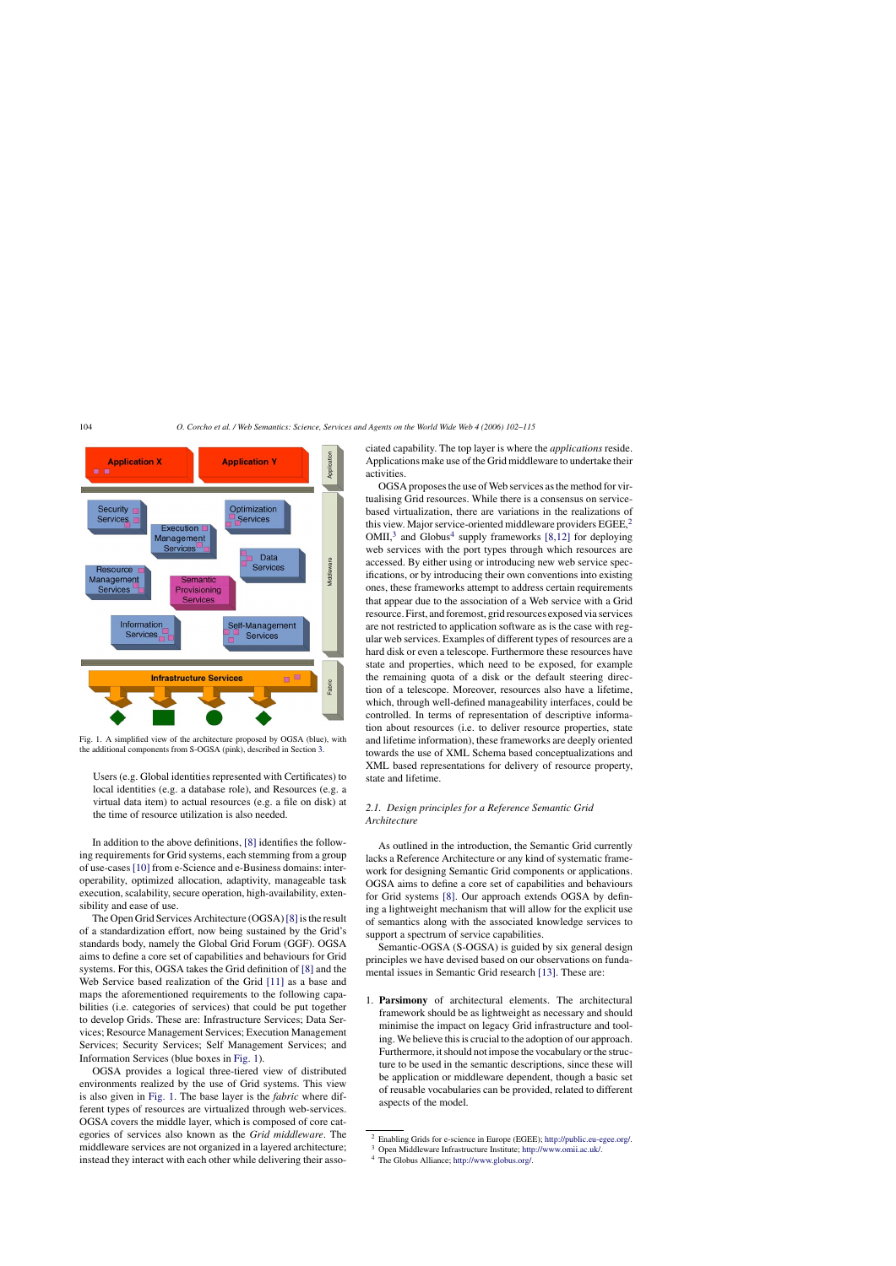<span id="page-2-0"></span>

Fig. 1. A simplified view of the architecture proposed by OGSA (blue), with the additional components from S-OGSA (pink), described in Section [3.](#page-3-0)

Users (e.g. Global identities represented with Certificates) to local identities (e.g. a database role), and Resources (e.g. a virtual data item) to actual resources (e.g. a file on disk) at the time of resource utilization is also needed.

In addition to the above definitions, [\[8\]](#page-12-0) identifies the following requirements for Grid systems, each stemming from a group of use-cases[\[10\]](#page-13-0) from e-Science and e-Business domains: interoperability, optimized allocation, adaptivity, manageable task execution, scalability, secure operation, high-availability, extensibility and ease of use.

The Open Grid Services Architecture (OGSA)[\[8\]is](#page-12-0) the result of a standardization effort, now being sustained by the Grid's standards body, namely the Global Grid Forum (GGF). OGSA aims to define a core set of capabilities and behaviours for Grid systems. For this, OGSA takes the Grid definition of [\[8\]](#page-12-0) and the Web Service based realization of the Grid [\[11\]](#page-13-0) as a base and maps the aforementioned requirements to the following capabilities (i.e. categories of services) that could be put together to develop Grids. These are: Infrastructure Services; Data Services; Resource Management Services; Execution Management Services; Security Services; Self Management Services; and Information Services (blue boxes in Fig. 1).

OGSA provides a logical three-tiered view of distributed environments realized by the use of Grid systems. This view is also given in Fig. 1. The base layer is the *fabric* where different types of resources are virtualized through web-services. OGSA covers the middle layer, which is composed of core categories of services also known as the *Grid middleware*. The middleware services are not organized in a layered architecture; instead they interact with each other while delivering their associated capability. The top layer is where the *applications* reside. Applications make use of the Grid middleware to undertake their activities.

OGSA proposes the use of Web services as the method for virtualising Grid resources. While there is a consensus on servicebased virtualization, there are variations in the realizations of this view. Major service-oriented middleware providers EGEE,<sup>2</sup>  $OMII$ ,<sup>3</sup> and Globus<sup>4</sup> supply frameworks [\[8,12\]](#page-12-0) for deploying web services with the port types through which resources are accessed. By either using or introducing new web service specifications, or by introducing their own conventions into existing ones, these frameworks attempt to address certain requirements that appear due to the association of a Web service with a Grid resource. First, and foremost, grid resources exposed via services are not restricted to application software as is the case with regular web services. Examples of different types of resources are a hard disk or even a telescope. Furthermore these resources have state and properties, which need to be exposed, for example the remaining quota of a disk or the default steering direction of a telescope. Moreover, resources also have a lifetime, which, through well-defined manageability interfaces, could be controlled. In terms of representation of descriptive information about resources (i.e. to deliver resource properties, state and lifetime information), these frameworks are deeply oriented towards the use of XML Schema based conceptualizations and XML based representations for delivery of resource property, state and lifetime.

# *2.1. Design principles for a Reference Semantic Grid Architecture*

As outlined in the introduction, the Semantic Grid currently lacks a Reference Architecture or any kind of systematic framework for designing Semantic Grid components or applications. OGSA aims to define a core set of capabilities and behaviours for Grid systems [\[8\].](#page-12-0) Our approach extends OGSA by defining a lightweight mechanism that will allow for the explicit use of semantics along with the associated knowledge services to support a spectrum of service capabilities.

Semantic-OGSA (S-OGSA) is guided by six general design principles we have devised based on our observations on fundamental issues in Semantic Grid research [\[13\]. T](#page-13-0)hese are:

1. **Parsimony** of architectural elements. The architectural framework should be as lightweight as necessary and should minimise the impact on legacy Grid infrastructure and tooling. We believe this is crucial to the adoption of our approach. Furthermore, it should not impose the vocabulary or the structure to be used in the semantic descriptions, since these will be application or middleware dependent, though a basic set of reusable vocabularies can be provided, related to different aspects of the model.

<sup>2</sup> Enabling Grids for e-science in Europe (EGEE); [http://public.eu-egee.org/.](http://public.eu-egee.org/)

<sup>3</sup> Open Middleware Infrastructure Institute; [http://www.omii.ac.uk/.](http://www.omii.ac.uk/)

<sup>4</sup> The Globus Alliance; [http://www.globus.org/.](http://www.globus.org/)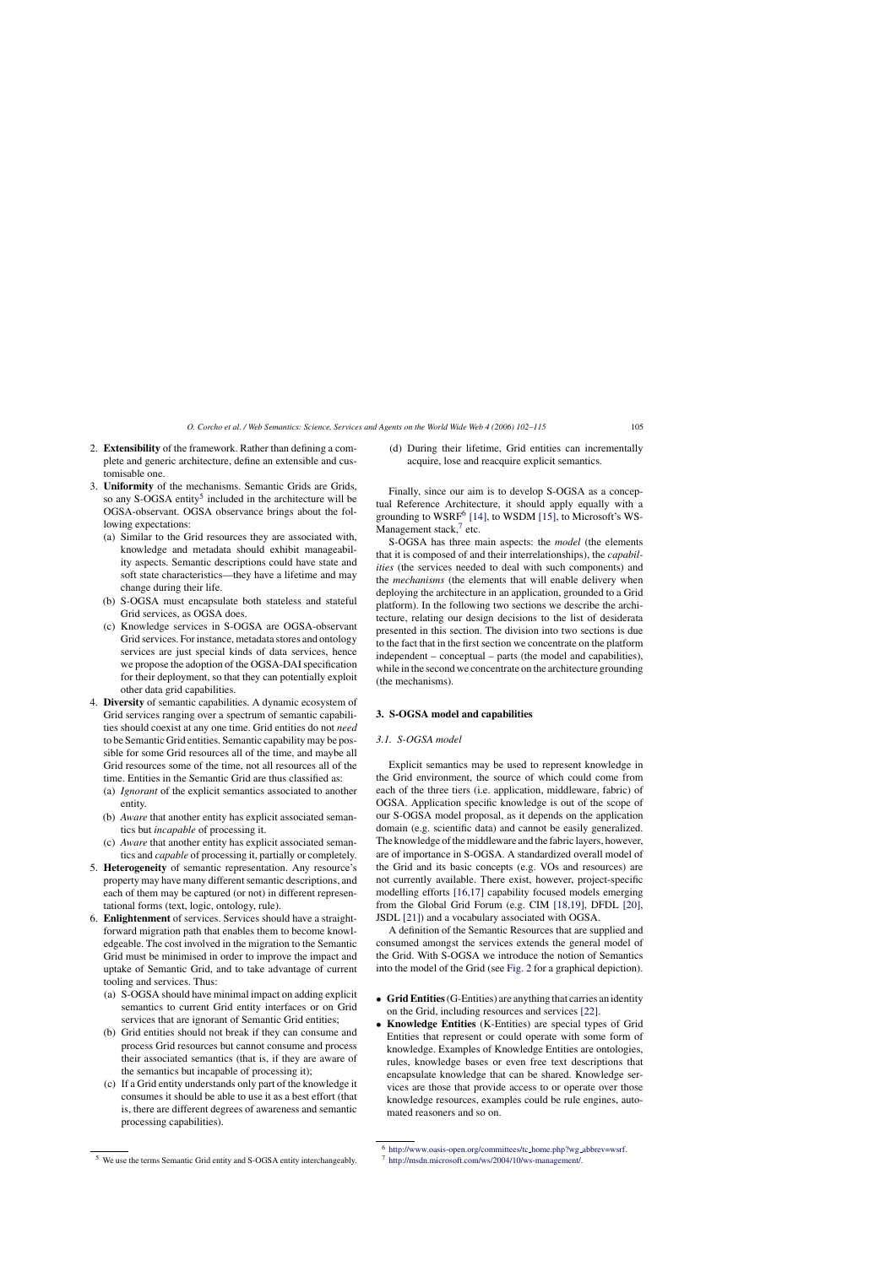- <span id="page-3-0"></span>2. **Extensibility** of the framework. Rather than defining a complete and generic architecture, define an extensible and customisable one.
- 3. **Uniformity** of the mechanisms. Semantic Grids are Grids, so any S-OGSA entity<sup>5</sup> included in the architecture will be OGSA-observant. OGSA observance brings about the following expectations:
	- (a) Similar to the Grid resources they are associated with, knowledge and metadata should exhibit manageability aspects. Semantic descriptions could have state and soft state characteristics—they have a lifetime and may change during their life.
	- (b) S-OGSA must encapsulate both stateless and stateful Grid services, as OGSA does.
	- (c) Knowledge services in S-OGSA are OGSA-observant Grid services. For instance, metadata stores and ontology services are just special kinds of data services, hence we propose the adoption of the OGSA-DAI specification for their deployment, so that they can potentially exploit other data grid capabilities.
- 4. **Diversity** of semantic capabilities. A dynamic ecosystem of Grid services ranging over a spectrum of semantic capabilities should coexist at any one time. Grid entities do not *need* to be Semantic Grid entities. Semantic capability may be possible for some Grid resources all of the time, and maybe all Grid resources some of the time, not all resources all of the time. Entities in the Semantic Grid are thus classified as:
	- (a) *Ignorant* of the explicit semantics associated to another entity.
	- (b) *Aware* that another entity has explicit associated semantics but *incapable* of processing it.
	- (c) *Aware* that another entity has explicit associated semantics and *capable* of processing it, partially or completely.
- 5. **Heterogeneity** of semantic representation. Any resource's property may have many different semantic descriptions, and each of them may be captured (or not) in different representational forms (text, logic, ontology, rule).
- 6. **Enlightenment** of services. Services should have a straightforward migration path that enables them to become knowledgeable. The cost involved in the migration to the Semantic Grid must be minimised in order to improve the impact and uptake of Semantic Grid, and to take advantage of current tooling and services. Thus:
	- (a) S-OGSA should have minimal impact on adding explicit semantics to current Grid entity interfaces or on Grid services that are ignorant of Semantic Grid entities;
	- (b) Grid entities should not break if they can consume and process Grid resources but cannot consume and process their associated semantics (that is, if they are aware of the semantics but incapable of processing it);
	- (c) If a Grid entity understands only part of the knowledge it consumes it should be able to use it as a best effort (that is, there are different degrees of awareness and semantic processing capabilities).

(d) During their lifetime, Grid entities can incrementally acquire, lose and reacquire explicit semantics.

Finally, since our aim is to develop S-OGSA as a conceptual Reference Architecture, it should apply equally with a grounding to  $WSRF^6$  [\[14\], t](#page-13-0)o WSDM [\[15\], t](#page-13-0)o Microsoft's WS-Management stack, $^7$  etc.

S-OGSA has three main aspects: the *model* (the elements that it is composed of and their interrelationships), the *capabilities* (the services needed to deal with such components) and the *mechanisms* (the elements that will enable delivery when deploying the architecture in an application, grounded to a Grid platform). In the following two sections we describe the architecture, relating our design decisions to the list of desiderata presented in this section. The division into two sections is due to the fact that in the first section we concentrate on the platform independent – conceptual – parts (the model and capabilities), while in the second we concentrate on the architecture grounding (the mechanisms).

## **3. S-OGSA model and capabilities**

### *3.1. S-OGSA model*

Explicit semantics may be used to represent knowledge in the Grid environment, the source of which could come from each of the three tiers (i.e. application, middleware, fabric) of OGSA. Application specific knowledge is out of the scope of our S-OGSA model proposal, as it depends on the application domain (e.g. scientific data) and cannot be easily generalized. The knowledge of the middleware and the fabric layers, however, are of importance in S-OGSA. A standardized overall model of the Grid and its basic concepts (e.g. VOs and resources) are not currently available. There exist, however, project-specific modelling efforts [\[16,17\]](#page-13-0) capability focused models emerging from the Global Grid Forum (e.g. CIM [\[18,19\],](#page-13-0) DFDL [\[20\],](#page-13-0) JSDL [\[21\]\)](#page-13-0) and a vocabulary associated with OGSA.

A definition of the Semantic Resources that are supplied and consumed amongst the services extends the general model of the Grid. With S-OGSA we introduce the notion of Semantics into the model of the Grid (see [Fig. 2](#page-4-0) for a graphical depiction).

- **Grid Entities**(G-Entities) are anything that carries an identity on the Grid, including resources and services [\[22\].](#page-13-0)
- **Knowledge Entities** (K-Entities) are special types of Grid Entities that represent or could operate with some form of knowledge. Examples of Knowledge Entities are ontologies, rules, knowledge bases or even free text descriptions that encapsulate knowledge that can be shared. Knowledge services are those that provide access to or operate over those knowledge resources, examples could be rule engines, automated reasoners and so on.

<sup>5</sup> We use the terms Semantic Grid entity and S-OGSA entity interchangeably.

<sup>6</sup> [http://www.oasis-open.org/committees/tc](http://www.oasis-open.org/committees/tc_home.php?wg_abbrev=wsrf) home.php?wg abbrev=wsrf.

<sup>7</sup> <http://msdn.microsoft.com/ws/2004/10/ws-management/>.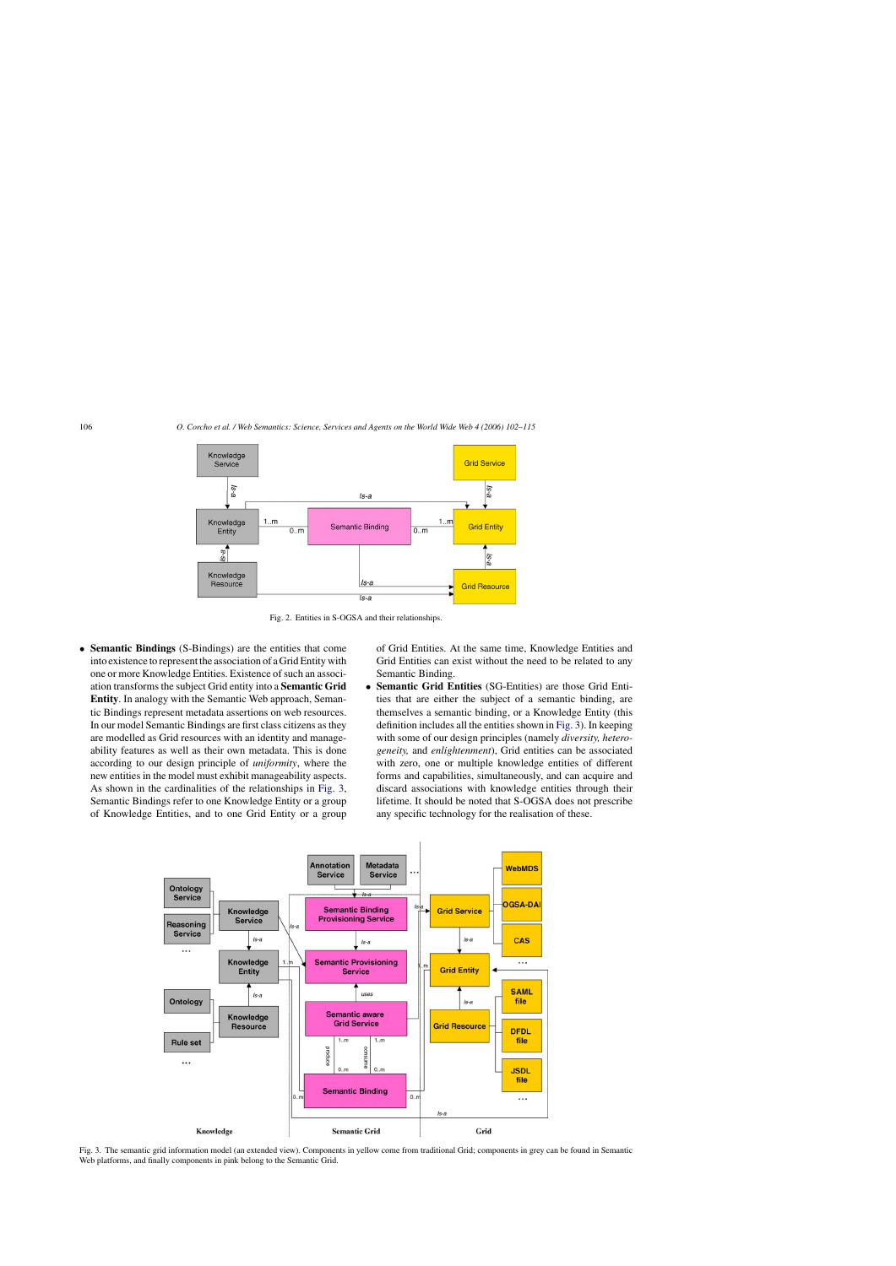<span id="page-4-0"></span>

Fig. 2. Entities in S-OGSA and their relationships.

• **Semantic Bindings** (S-Bindings) are the entities that come into existence to represent the association of a Grid Entity with one or more Knowledge Entities. Existence of such an association transforms the subject Grid entity into a **Semantic Grid Entity**. In analogy with the Semantic Web approach, Semantic Bindings represent metadata assertions on web resources. In our model Semantic Bindings are first class citizens as they are modelled as Grid resources with an identity and manageability features as well as their own metadata. This is done according to our design principle of *uniformity*, where the new entities in the model must exhibit manageability aspects. As shown in the cardinalities of the relationships in Fig. 3, Semantic Bindings refer to one Knowledge Entity or a group of Knowledge Entities, and to one Grid Entity or a group of Grid Entities. At the same time, Knowledge Entities and Grid Entities can exist without the need to be related to any Semantic Binding.

• **Semantic Grid Entities** (SG-Entities) are those Grid Entities that are either the subject of a semantic binding, are themselves a semantic binding, or a Knowledge Entity (this definition includes all the entities shown in Fig. 3). In keeping with some of our design principles (namely *diversity, heterogeneity,* and *enlightenment*), Grid entities can be associated with zero, one or multiple knowledge entities of different forms and capabilities, simultaneously, and can acquire and discard associations with knowledge entities through their lifetime. It should be noted that S-OGSA does not prescribe any specific technology for the realisation of these.



Fig. 3. The semantic grid information model (an extended view). Components in yellow come from traditional Grid; components in grey can be found in Semantic Web platforms, and finally components in pink belong to the Semantic Grid.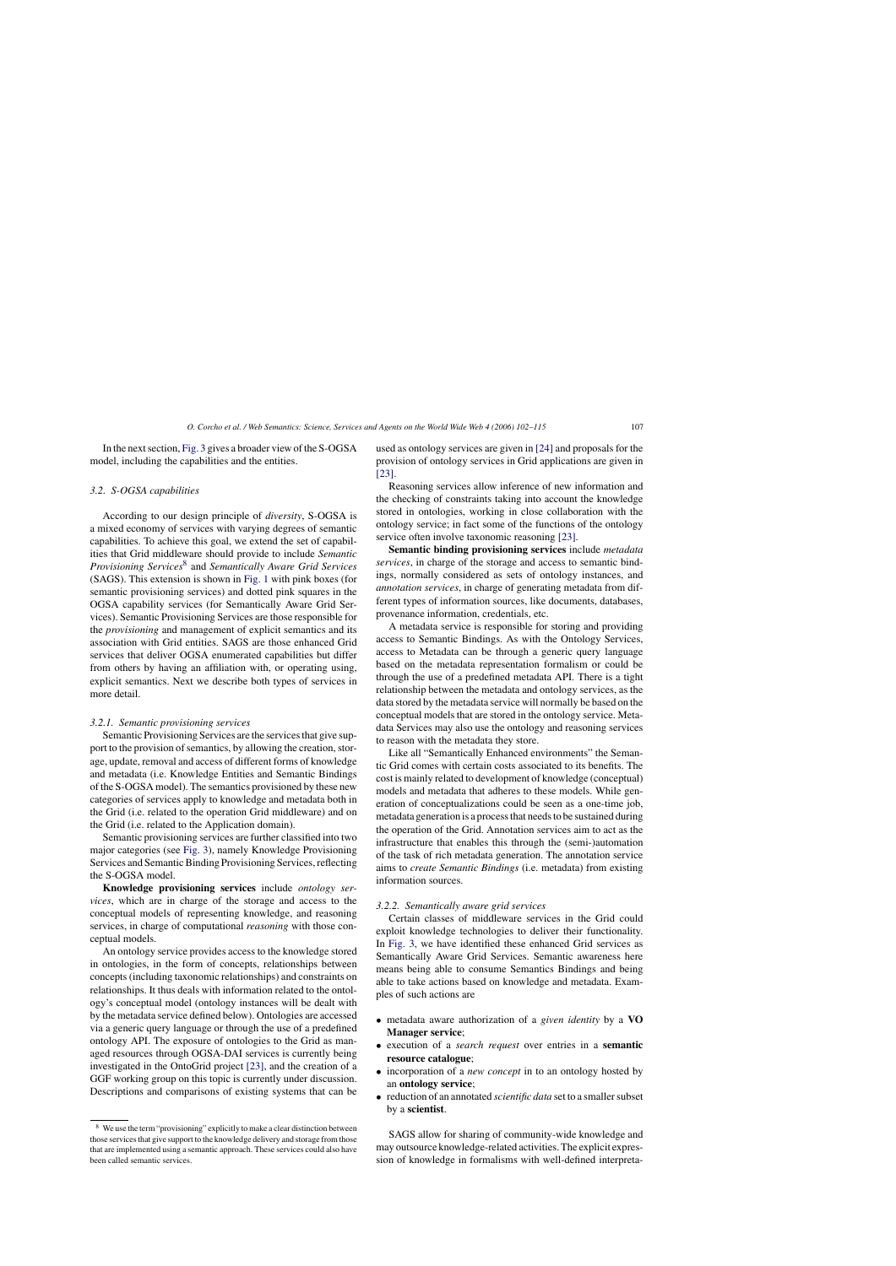In the next section, [Fig. 3](#page-4-0) gives a broader view of the S-OGSA model, including the capabilities and the entities.

#### *3.2. S-OGSA capabilities*

According to our design principle of *diversity*, S-OGSA is a mixed economy of services with varying degrees of semantic capabilities. To achieve this goal, we extend the set of capabilities that Grid middleware should provide to include *Semantic Provisioning Services*<sup>8</sup> and *Semantically Aware Grid Services* (SAGS). This extension is shown in [Fig. 1](#page-2-0) with pink boxes (for semantic provisioning services) and dotted pink squares in the OGSA capability services (for Semantically Aware Grid Services). Semantic Provisioning Services are those responsible for the *provisioning* and management of explicit semantics and its association with Grid entities. SAGS are those enhanced Grid services that deliver OGSA enumerated capabilities but differ from others by having an affiliation with, or operating using, explicit semantics. Next we describe both types of services in more detail.

#### *3.2.1. Semantic provisioning services*

Semantic Provisioning Services are the services that give support to the provision of semantics, by allowing the creation, storage, update, removal and access of different forms of knowledge and metadata (i.e. Knowledge Entities and Semantic Bindings of the S-OGSA model). The semantics provisioned by these new categories of services apply to knowledge and metadata both in the Grid (i.e. related to the operation Grid middleware) and on the Grid (i.e. related to the Application domain).

Semantic provisioning services are further classified into two major categories (see [Fig. 3\),](#page-4-0) namely Knowledge Provisioning Services and Semantic Binding Provisioning Services, reflecting the S-OGSA model.

**Knowledge provisioning services** include *ontology services*, which are in charge of the storage and access to the conceptual models of representing knowledge, and reasoning services, in charge of computational *reasoning* with those conceptual models.

An ontology service provides access to the knowledge stored in ontologies, in the form of concepts, relationships between concepts (including taxonomic relationships) and constraints on relationships. It thus deals with information related to the ontology's conceptual model (ontology instances will be dealt with by the metadata service defined below). Ontologies are accessed via a generic query language or through the use of a predefined ontology API. The exposure of ontologies to the Grid as managed resources through OGSA-DAI services is currently being investigated in the OntoGrid project [\[23\],](#page-13-0) and the creation of a GGF working group on this topic is currently under discussion. Descriptions and comparisons of existing systems that can be used as ontology services are given in [\[24\]](#page-13-0) and proposals for the provision of ontology services in Grid applications are given in [\[23\].](#page-13-0)

Reasoning services allow inference of new information and the checking of constraints taking into account the knowledge stored in ontologies, working in close collaboration with the ontology service; in fact some of the functions of the ontology service often involve taxonomic reasoning [\[23\].](#page-13-0)

**Semantic binding provisioning services** include *metadata services*, in charge of the storage and access to semantic bindings, normally considered as sets of ontology instances, and *annotation services*, in charge of generating metadata from different types of information sources, like documents, databases, provenance information, credentials, etc.

A metadata service is responsible for storing and providing access to Semantic Bindings. As with the Ontology Services, access to Metadata can be through a generic query language based on the metadata representation formalism or could be through the use of a predefined metadata API. There is a tight relationship between the metadata and ontology services, as the data stored by the metadata service will normally be based on the conceptual models that are stored in the ontology service. Metadata Services may also use the ontology and reasoning services to reason with the metadata they store.

Like all "Semantically Enhanced environments" the Semantic Grid comes with certain costs associated to its benefits. The cost is mainly related to development of knowledge (conceptual) models and metadata that adheres to these models. While generation of conceptualizations could be seen as a one-time job, metadata generation is a process that needs to be sustained during the operation of the Grid. Annotation services aim to act as the infrastructure that enables this through the (semi-)automation of the task of rich metadata generation. The annotation service aims to *create Semantic Bindings* (i.e. metadata) from existing information sources.

## *3.2.2. Semantically aware grid services*

Certain classes of middleware services in the Grid could exploit knowledge technologies to deliver their functionality. In [Fig. 3,](#page-4-0) we have identified these enhanced Grid services as Semantically Aware Grid Services. Semantic awareness here means being able to consume Semantics Bindings and being able to take actions based on knowledge and metadata. Examples of such actions are

- metadata aware authorization of a *given identity* by a **VO Manager service**;
- execution of a *search request* over entries in a **semantic resource catalogue**;
- incorporation of a *new concept* in to an ontology hosted by an **ontology service**;
- reduction of an annotated *scientific data* set to a smaller subset by a **scientist**.

SAGS allow for sharing of community-wide knowledge and may outsource knowledge-related activities. The explicit expression of knowledge in formalisms with well-defined interpreta-

<sup>8</sup> We use the term "provisioning" explicitly to make a clear distinction between those services that give support to the knowledge delivery and storage from those that are implemented using a semantic approach. These services could also have been called semantic services.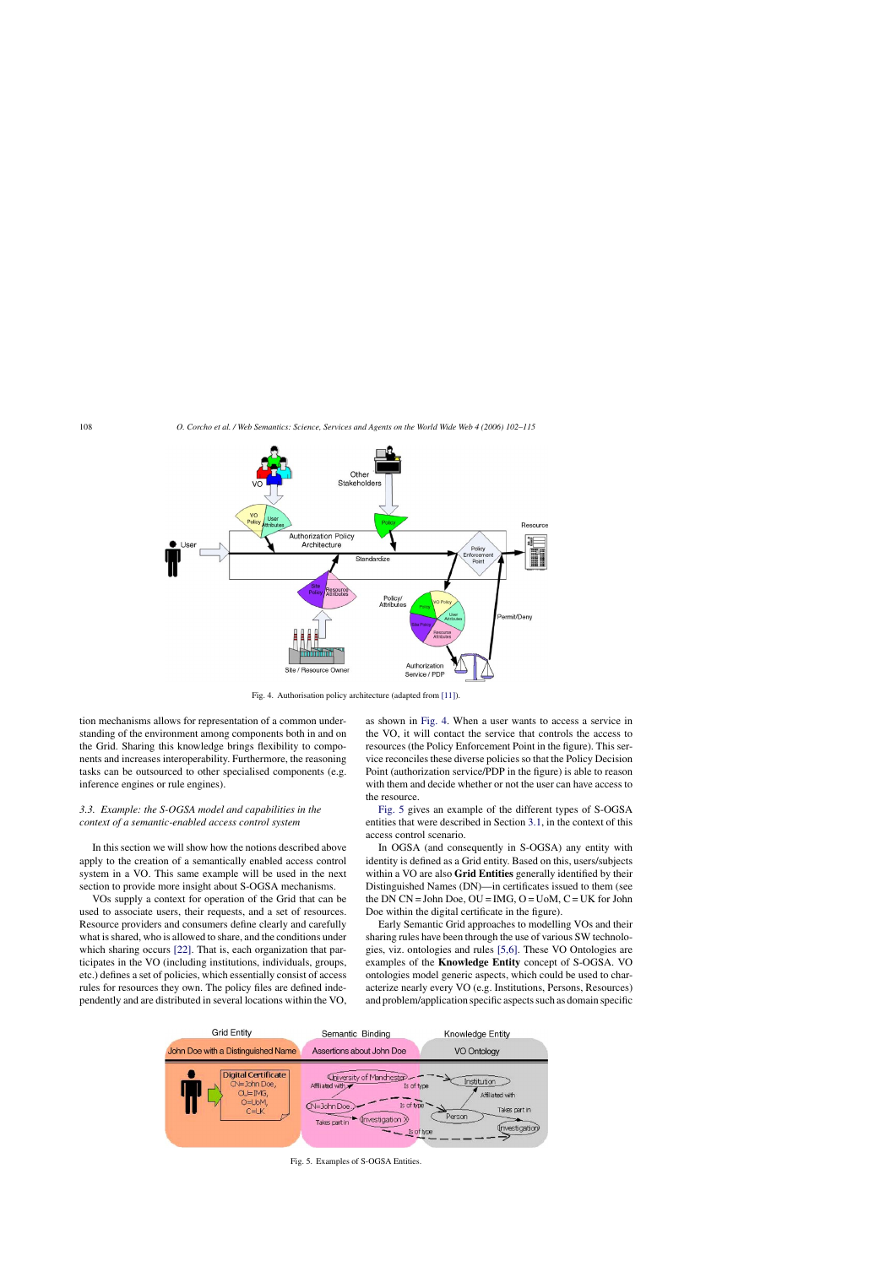<span id="page-6-0"></span>

Fig. 4. Authorisation policy architecture (adapted from [\[11\]\).](#page-13-0)

tion mechanisms allows for representation of a common understanding of the environment among components both in and on the Grid. Sharing this knowledge brings flexibility to components and increases interoperability. Furthermore, the reasoning tasks can be outsourced to other specialised components (e.g. inference engines or rule engines).

# *3.3. Example: the S-OGSA model and capabilities in the context of a semantic-enabled access control system*

In this section we will show how the notions described above apply to the creation of a semantically enabled access control system in a VO. This same example will be used in the next section to provide more insight about S-OGSA mechanisms.

VOs supply a context for operation of the Grid that can be used to associate users, their requests, and a set of resources. Resource providers and consumers define clearly and carefully what is shared, who is allowed to share, and the conditions under which sharing occurs [\[22\].](#page-13-0) That is, each organization that participates in the VO (including institutions, individuals, groups, etc.) defines a set of policies, which essentially consist of access rules for resources they own. The policy files are defined independently and are distributed in several locations within the VO,

as shown in Fig. 4. When a user wants to access a service in the VO, it will contact the service that controls the access to resources (the Policy Enforcement Point in the figure). This service reconciles these diverse policies so that the Policy Decision Point (authorization service/PDP in the figure) is able to reason with them and decide whether or not the user can have access to the resource.

Fig. 5 gives an example of the different types of S-OGSA entities that were described in Section [3.1, i](#page-3-0)n the context of this access control scenario.

In OGSA (and consequently in S-OGSA) any entity with identity is defined as a Grid entity. Based on this, users/subjects within a VO are also **Grid Entities** generally identified by their Distinguished Names (DN)—in certificates issued to them (see the DN  $CN = John Doe$ ,  $OU = IMG$ ,  $O = UoM$ ,  $C = UK$  for John Doe within the digital certificate in the figure).

Early Semantic Grid approaches to modelling VOs and their sharing rules have been through the use of various SW technologies, viz. ontologies and rules [\[5,6\].](#page-12-0) These VO Ontologies are examples of the **Knowledge Entity** concept of S-OGSA. VO ontologies model generic aspects, which could be used to characterize nearly every VO (e.g. Institutions, Persons, Resources) and problem/application specific aspects such as domain specific



Fig. 5. Examples of S-OGSA Entities.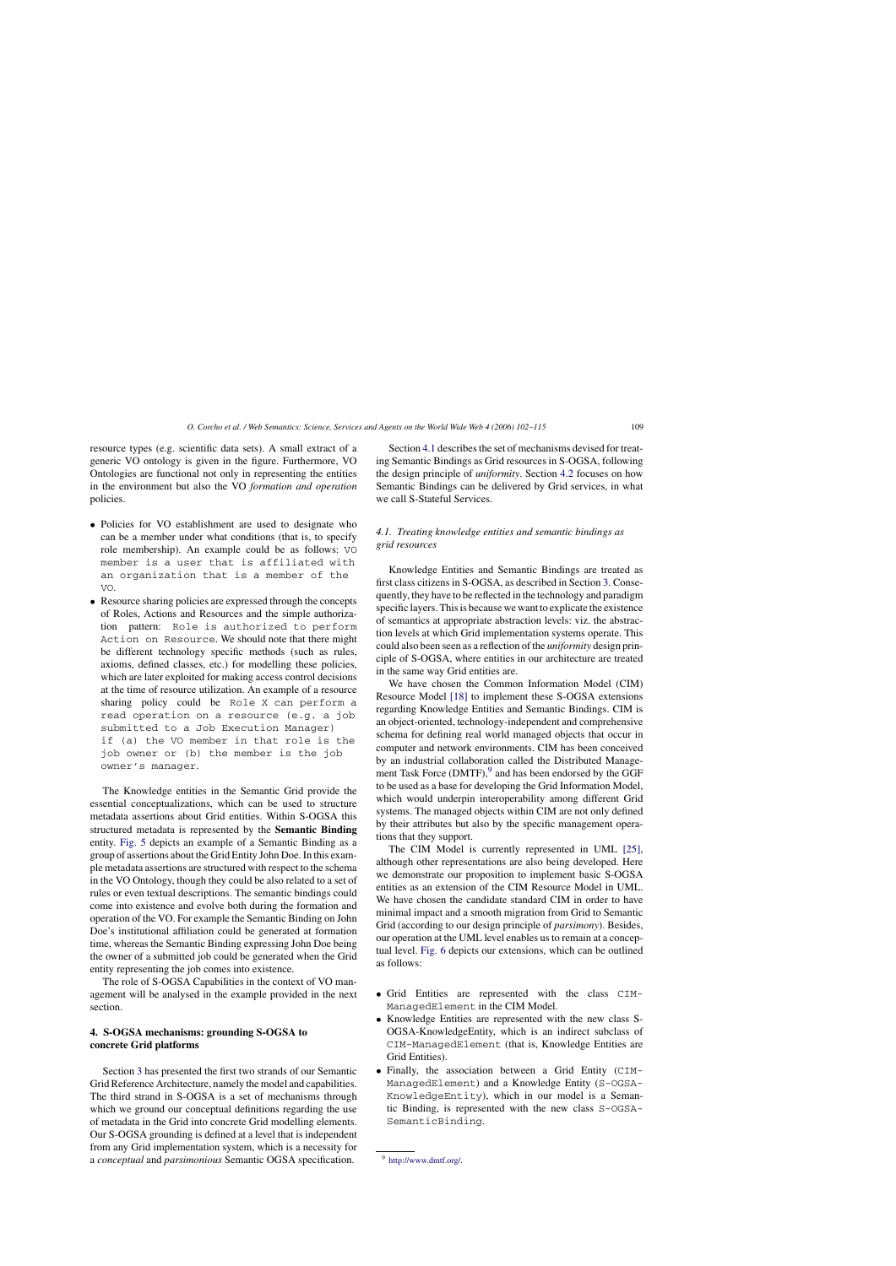<span id="page-7-0"></span>resource types (e.g. scientific data sets). A small extract of a generic VO ontology is given in the figure. Furthermore, VO Ontologies are functional not only in representing the entities in the environment but also the VO *formation and operation* policies.

- Policies for VO establishment are used to designate who can be a member under what conditions (that is, to specify role membership). An example could be as follows: VO member is a user that is affiliated with an organization that is a member of the VO.
- Resource sharing policies are expressed through the concepts of Roles, Actions and Resources and the simple authorization pattern: Role is authorized to perform Action on Resource. We should note that there might be different technology specific methods (such as rules, axioms, defined classes, etc.) for modelling these policies, which are later exploited for making access control decisions at the time of resource utilization. An example of a resource sharing policy could be Role X can perform a read operation on a resource (e.g. a job submitted to a Job Execution Manager) if (a) the VO member in that role is the job owner or (b) the member is the job owner's manager.

The Knowledge entities in the Semantic Grid provide the essential conceptualizations, which can be used to structure metadata assertions about Grid entities. Within S-OGSA this structured metadata is represented by the **Semantic Binding** entity. [Fig. 5](#page-6-0) depicts an example of a Semantic Binding as a group of assertions about the Grid Entity John Doe. In this example metadata assertions are structured with respect to the schema in the VO Ontology, though they could be also related to a set of rules or even textual descriptions. The semantic bindings could come into existence and evolve both during the formation and operation of the VO. For example the Semantic Binding on John Doe's institutional affiliation could be generated at formation time, whereas the Semantic Binding expressing John Doe being the owner of a submitted job could be generated when the Grid entity representing the job comes into existence.

The role of S-OGSA Capabilities in the context of VO management will be analysed in the example provided in the next section.

# **4. S-OGSA mechanisms: grounding S-OGSA to concrete Grid platforms**

Section [3](#page-3-0) has presented the first two strands of our Semantic Grid Reference Architecture, namely the model and capabilities. The third strand in S-OGSA is a set of mechanisms through which we ground our conceptual definitions regarding the use of metadata in the Grid into concrete Grid modelling elements. Our S-OGSA grounding is defined at a level that is independent from any Grid implementation system, which is a necessity for a *conceptual* and *parsimonious* Semantic OGSA specification.

Section 4.1 describes the set of mechanisms devised for treating Semantic Bindings as Grid resources in S-OGSA, following the design principle of *uniformity*. Section [4.2](#page-8-0) focuses on how Semantic Bindings can be delivered by Grid services, in what we call S-Stateful Services.

# *4.1. Treating knowledge entities and semantic bindings as grid resources*

Knowledge Entities and Semantic Bindings are treated as first class citizens in S-OGSA, as described in Section [3. C](#page-3-0)onsequently, they have to be reflected in the technology and paradigm specific layers. This is because we want to explicate the existence of semantics at appropriate abstraction levels: viz. the abstraction levels at which Grid implementation systems operate. This could also been seen as a reflection of the *uniformity* design principle of S-OGSA, where entities in our architecture are treated in the same way Grid entities are.

We have chosen the Common Information Model (CIM) Resource Model [\[18\]](#page-13-0) to implement these S-OGSA extensions regarding Knowledge Entities and Semantic Bindings. CIM is an object-oriented, technology-independent and comprehensive schema for defining real world managed objects that occur in computer and network environments. CIM has been conceived by an industrial collaboration called the Distributed Management Task Force  $(DMTF)$ ,  $\frac{9}{2}$  and has been endorsed by the GGF to be used as a base for developing the Grid Information Model, which would underpin interoperability among different Grid systems. The managed objects within CIM are not only defined by their attributes but also by the specific management operations that they support.

The CIM Model is currently represented in UML [\[25\],](#page-13-0) although other representations are also being developed. Here we demonstrate our proposition to implement basic S-OGSA entities as an extension of the CIM Resource Model in UML. We have chosen the candidate standard CIM in order to have minimal impact and a smooth migration from Grid to Semantic Grid (according to our design principle of *parsimony*). Besides, our operation at the UML level enables us to remain at a conceptual level. [Fig. 6](#page-8-0) depicts our extensions, which can be outlined as follows:

- Grid Entities are represented with the class CIM-ManagedElement in the CIM Model.
- Knowledge Entities are represented with the new class S-OGSA-KnowledgeEntity, which is an indirect subclass of CIM-ManagedElement (that is, Knowledge Entities are Grid Entities).
- Finally, the association between a Grid Entity (CIM-ManagedElement) and a Knowledge Entity (S-OGSA-KnowledgeEntity), which in our model is a Semantic Binding, is represented with the new class S-OGSA-SemanticBinding.

<sup>9</sup> <http://www.dmtf.org/>.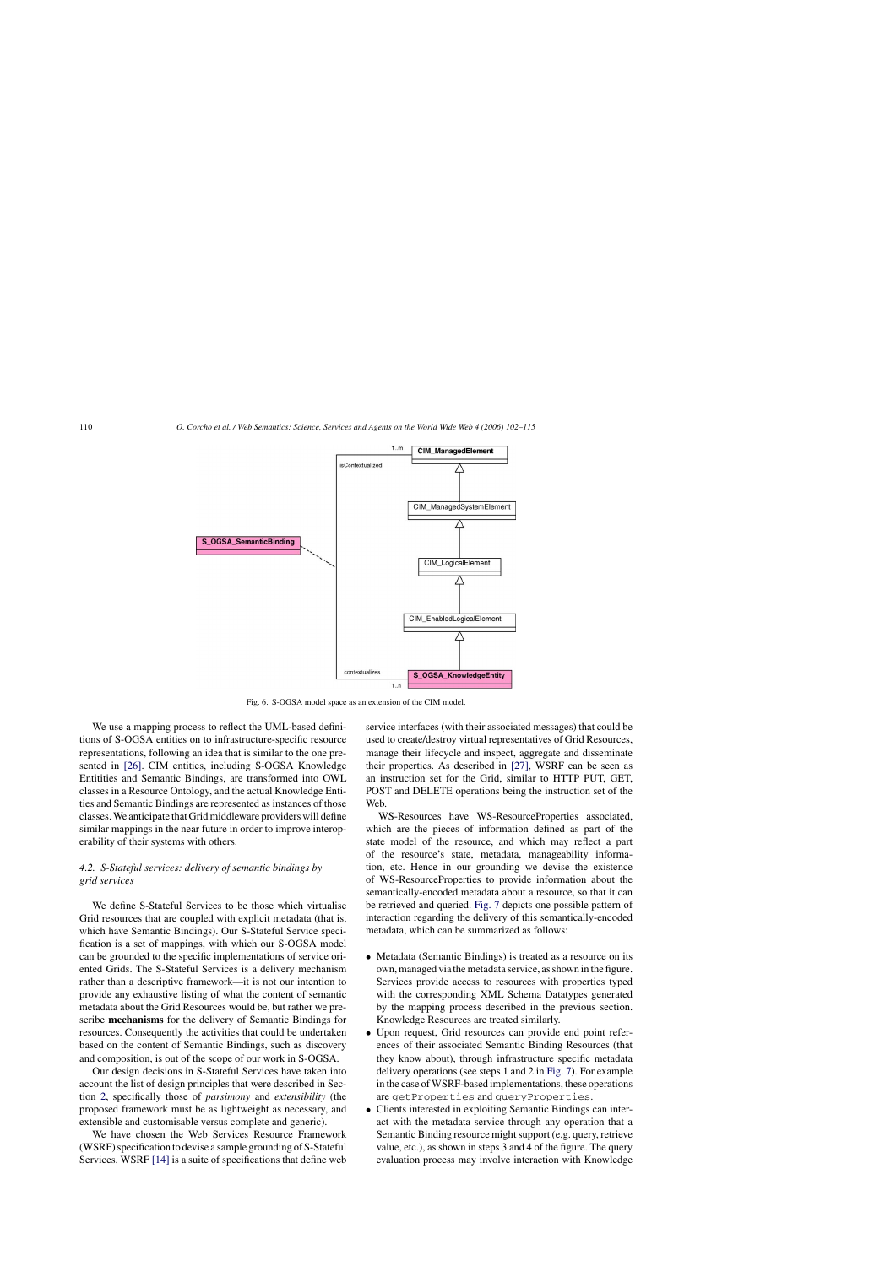<span id="page-8-0"></span>

Fig. 6. S-OGSA model space as an extension of the CIM model.

We use a mapping process to reflect the UML-based definitions of S-OGSA entities on to infrastructure-specific resource representations, following an idea that is similar to the one presented in [\[26\].](#page-13-0) CIM entities, including S-OGSA Knowledge Entitities and Semantic Bindings, are transformed into OWL classes in a Resource Ontology, and the actual Knowledge Entities and Semantic Bindings are represented as instances of those classes. We anticipate that Grid middleware providers will define similar mappings in the near future in order to improve interoperability of their systems with others.

## *4.2. S-Stateful services: delivery of semantic bindings by grid services*

We define S-Stateful Services to be those which virtualise Grid resources that are coupled with explicit metadata (that is, which have Semantic Bindings). Our S-Stateful Service specification is a set of mappings, with which our S-OGSA model can be grounded to the specific implementations of service oriented Grids. The S-Stateful Services is a delivery mechanism rather than a descriptive framework—it is not our intention to provide any exhaustive listing of what the content of semantic metadata about the Grid Resources would be, but rather we prescribe **mechanisms** for the delivery of Semantic Bindings for resources. Consequently the activities that could be undertaken based on the content of Semantic Bindings, such as discovery and composition, is out of the scope of our work in S-OGSA.

Our design decisions in S-Stateful Services have taken into account the list of design principles that were described in Section [2,](#page-1-0) specifically those of *parsimony* and *extensibility* (the proposed framework must be as lightweight as necessary, and extensible and customisable versus complete and generic).

We have chosen the Web Services Resource Framework (WSRF) specification to devise a sample grounding of S-Stateful Services. WSRF [\[14\]](#page-13-0) is a suite of specifications that define web

service interfaces (with their associated messages) that could be used to create/destroy virtual representatives of Grid Resources, manage their lifecycle and inspect, aggregate and disseminate their properties. As described in [\[27\],](#page-13-0) WSRF can be seen as an instruction set for the Grid, similar to HTTP PUT, GET, POST and DELETE operations being the instruction set of the **Web** 

WS-Resources have WS-ResourceProperties associated, which are the pieces of information defined as part of the state model of the resource, and which may reflect a part of the resource's state, metadata, manageability information, etc. Hence in our grounding we devise the existence of WS-ResourceProperties to provide information about the semantically-encoded metadata about a resource, so that it can be retrieved and queried. [Fig. 7](#page-9-0) depicts one possible pattern of interaction regarding the delivery of this semantically-encoded metadata, which can be summarized as follows:

- Metadata (Semantic Bindings) is treated as a resource on its own, managed via the metadata service, as shown in the figure. Services provide access to resources with properties typed with the corresponding XML Schema Datatypes generated by the mapping process described in the previous section. Knowledge Resources are treated similarly.
- Upon request, Grid resources can provide end point references of their associated Semantic Binding Resources (that they know about), through infrastructure specific metadata delivery operations (see steps 1 and 2 in [Fig. 7\).](#page-9-0) For example in the case of WSRF-based implementations, these operations are getProperties and queryProperties.
- Clients interested in exploiting Semantic Bindings can interact with the metadata service through any operation that a Semantic Binding resource might support (e.g. query, retrieve value, etc.), as shown in steps 3 and 4 of the figure. The query evaluation process may involve interaction with Knowledge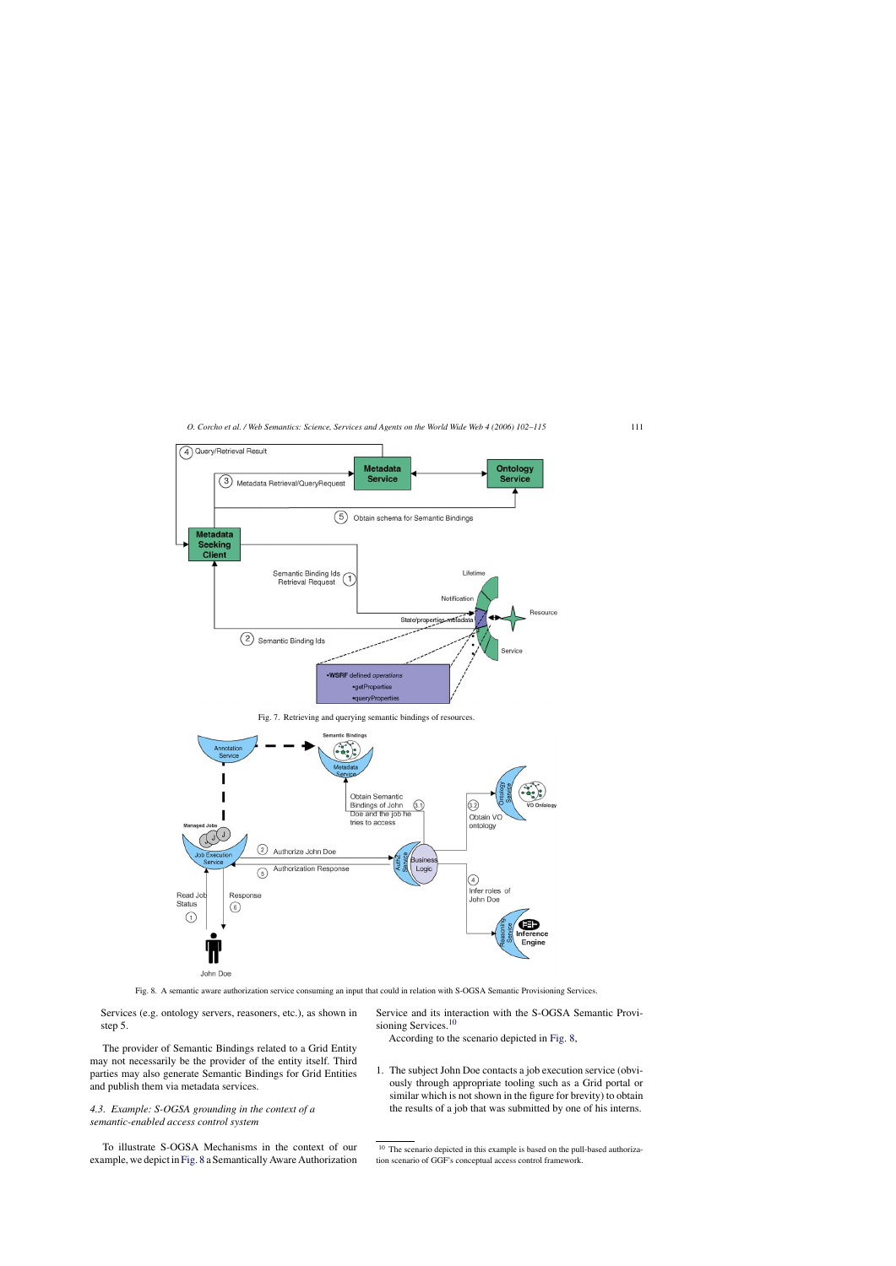<span id="page-9-0"></span>

Fig. 7. Retrieving and querying semantic bindings of resources.



Fig. 8. A semantic aware authorization service consuming an input that could in relation with S-OGSA Semantic Provisioning Services.

Services (e.g. ontology servers, reasoners, etc.), as shown in step 5.

The provider of Semantic Bindings related to a Grid Entity may not necessarily be the provider of the entity itself. Third parties may also generate Semantic Bindings for Grid Entities and publish them via metadata services.

# *4.3. Example: S-OGSA grounding in the context of a semantic-enabled access control system*

To illustrate S-OGSA Mechanisms in the context of our example, we depict in Fig. 8 a Semantically Aware Authorization Service and its interaction with the S-OGSA Semantic Provisioning Services.<sup>10</sup>

According to the scenario depicted in Fig. 8,

1. The subject John Doe contacts a job execution service (obviously through appropriate tooling such as a Grid portal or similar which is not shown in the figure for brevity) to obtain the results of a job that was submitted by one of his interns.

<sup>&</sup>lt;sup>10</sup> The scenario depicted in this example is based on the pull-based authorization scenario of GGF's conceptual access control framework.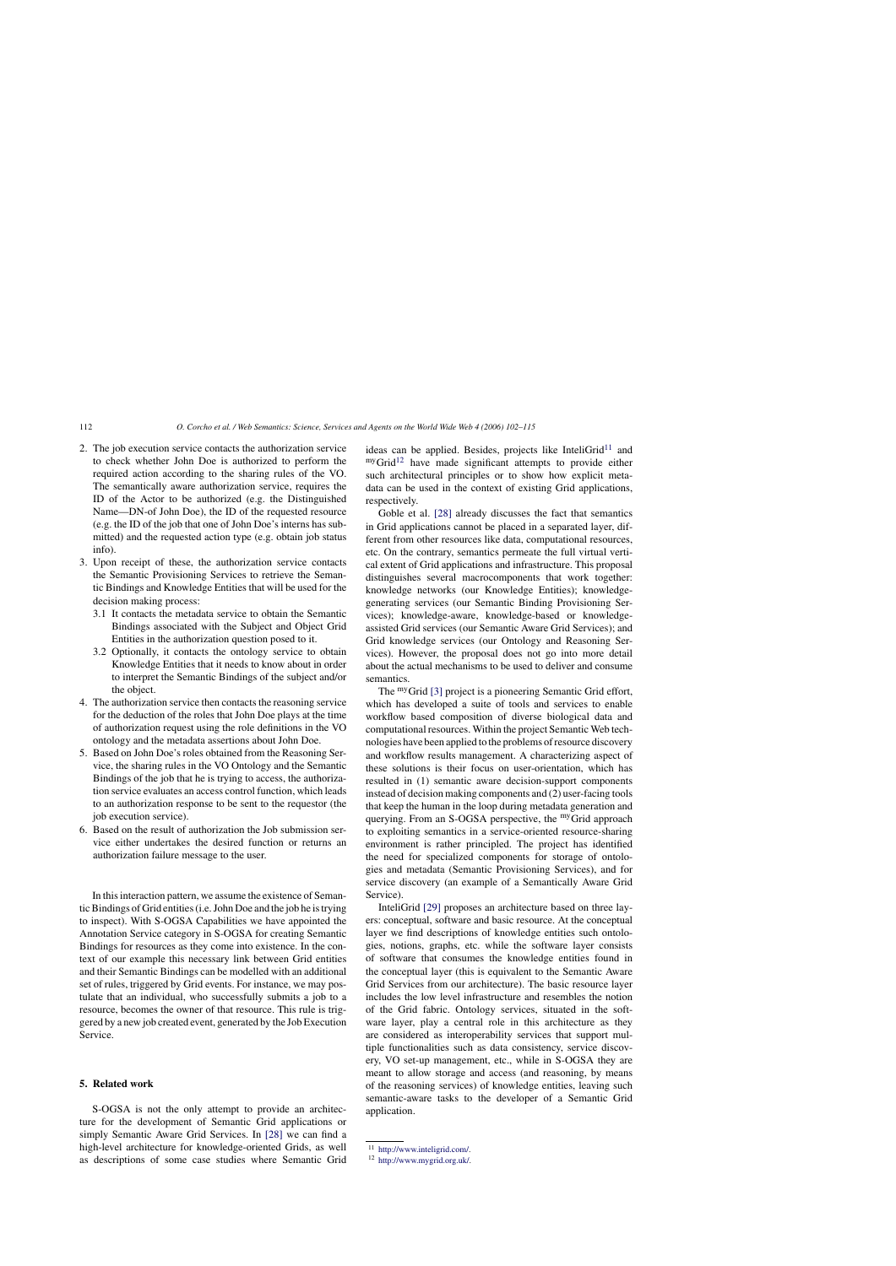- <span id="page-10-0"></span>2. The job execution service contacts the authorization service to check whether John Doe is authorized to perform the required action according to the sharing rules of the VO. The semantically aware authorization service, requires the ID of the Actor to be authorized (e.g. the Distinguished Name—DN-of John Doe), the ID of the requested resource (e.g. the ID of the job that one of John Doe's interns has submitted) and the requested action type (e.g. obtain job status info).
- 3. Upon receipt of these, the authorization service contacts the Semantic Provisioning Services to retrieve the Semantic Bindings and Knowledge Entities that will be used for the decision making process:
	- 3.1 It contacts the metadata service to obtain the Semantic Bindings associated with the Subject and Object Grid Entities in the authorization question posed to it.
	- 3.2 Optionally, it contacts the ontology service to obtain Knowledge Entities that it needs to know about in order to interpret the Semantic Bindings of the subject and/or the object.
- 4. The authorization service then contacts the reasoning service for the deduction of the roles that John Doe plays at the time of authorization request using the role definitions in the VO ontology and the metadata assertions about John Doe.
- 5. Based on John Doe's roles obtained from the Reasoning Service, the sharing rules in the VO Ontology and the Semantic Bindings of the job that he is trying to access, the authorization service evaluates an access control function, which leads to an authorization response to be sent to the requestor (the job execution service).
- 6. Based on the result of authorization the Job submission service either undertakes the desired function or returns an authorization failure message to the user.

In this interaction pattern, we assume the existence of Semantic Bindings of Grid entities (i.e. John Doe and the job he is trying to inspect). With S-OGSA Capabilities we have appointed the Annotation Service category in S-OGSA for creating Semantic Bindings for resources as they come into existence. In the context of our example this necessary link between Grid entities and their Semantic Bindings can be modelled with an additional set of rules, triggered by Grid events. For instance, we may postulate that an individual, who successfully submits a job to a resource, becomes the owner of that resource. This rule is triggered by a new job created event, generated by the Job Execution Service.

## **5. Related work**

S-OGSA is not the only attempt to provide an architecture for the development of Semantic Grid applications or simply Semantic Aware Grid Services. In [\[28\]](#page-13-0) we can find a high-level architecture for knowledge-oriented Grids, as well as descriptions of some case studies where Semantic Grid ideas can be applied. Besides, projects like InteliGrid $11$  and  $<sup>my</sup>Grid<sup>12</sup>$  have made significant attempts to provide either</sup> such architectural principles or to show how explicit metadata can be used in the context of existing Grid applications, respectively.

Goble et al. [\[28\]](#page-13-0) already discusses the fact that semantics in Grid applications cannot be placed in a separated layer, different from other resources like data, computational resources, etc. On the contrary, semantics permeate the full virtual vertical extent of Grid applications and infrastructure. This proposal distinguishes several macrocomponents that work together: knowledge networks (our Knowledge Entities); knowledgegenerating services (our Semantic Binding Provisioning Services); knowledge-aware, knowledge-based or knowledgeassisted Grid services (our Semantic Aware Grid Services); and Grid knowledge services (our Ontology and Reasoning Services). However, the proposal does not go into more detail about the actual mechanisms to be used to deliver and consume semantics.

The myGrid [\[3\]](#page-12-0) project is a pioneering Semantic Grid effort, which has developed a suite of tools and services to enable workflow based composition of diverse biological data and computational resources. Within the project Semantic Web technologies have been applied to the problems of resource discovery and workflow results management. A characterizing aspect of these solutions is their focus on user-orientation, which has resulted in (1) semantic aware decision-support components instead of decision making components and (2) user-facing tools that keep the human in the loop during metadata generation and querying. From an S-OGSA perspective, the myGrid approach to exploiting semantics in a service-oriented resource-sharing environment is rather principled. The project has identified the need for specialized components for storage of ontologies and metadata (Semantic Provisioning Services), and for service discovery (an example of a Semantically Aware Grid Service).

InteliGrid [\[29\]](#page-13-0) proposes an architecture based on three layers: conceptual, software and basic resource. At the conceptual layer we find descriptions of knowledge entities such ontologies, notions, graphs, etc. while the software layer consists of software that consumes the knowledge entities found in the conceptual layer (this is equivalent to the Semantic Aware Grid Services from our architecture). The basic resource layer includes the low level infrastructure and resembles the notion of the Grid fabric. Ontology services, situated in the software layer, play a central role in this architecture as they are considered as interoperability services that support multiple functionalities such as data consistency, service discovery, VO set-up management, etc., while in S-OGSA they are meant to allow storage and access (and reasoning, by means of the reasoning services) of knowledge entities, leaving such semantic-aware tasks to the developer of a Semantic Grid application.

<sup>11</sup> [http://www.inteligrid.com/.](http://www.inteligrid.com/)

<sup>12</sup> <http://www.mygrid.org.uk/>.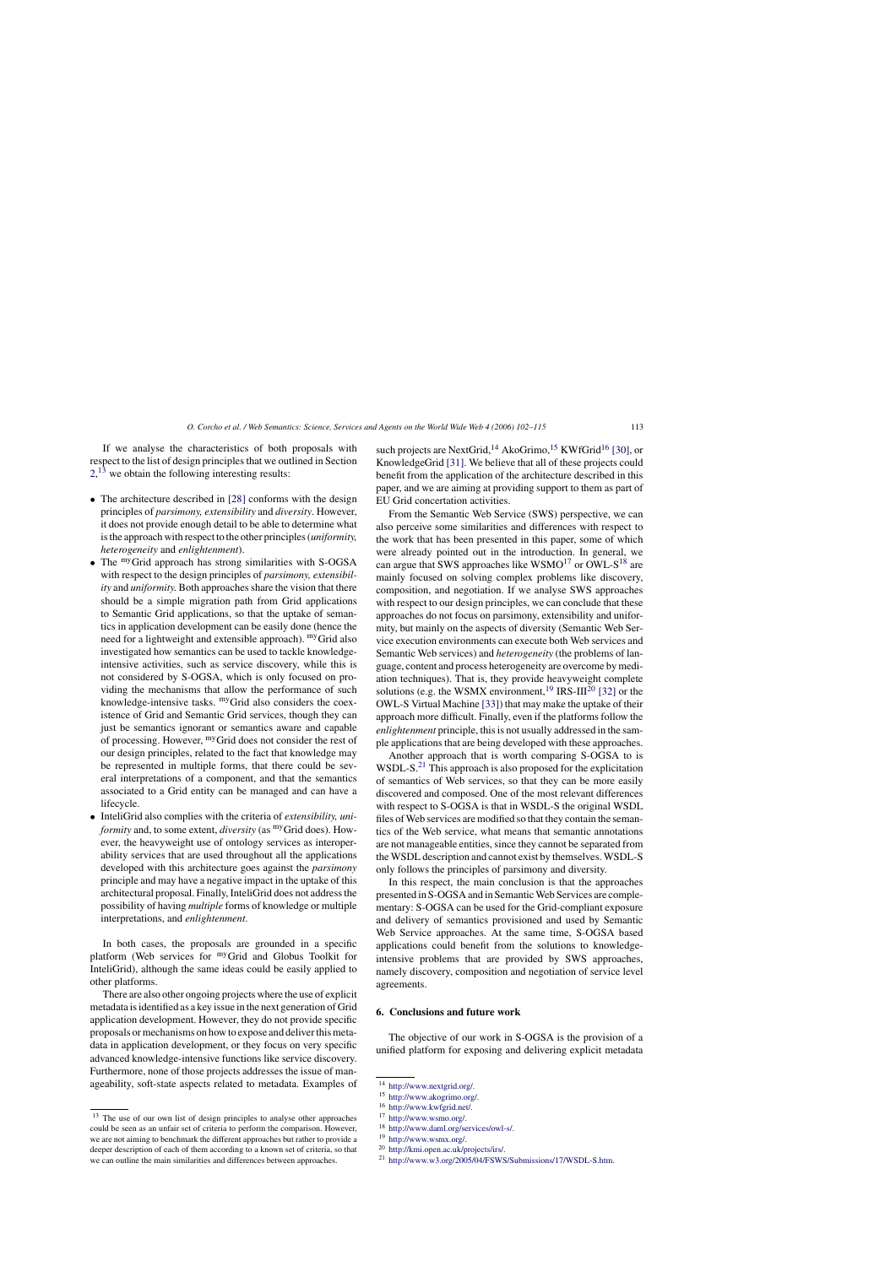<span id="page-11-0"></span>If we analyse the characteristics of both proposals with respect to the list of design principles that we outlined in Section  $2<sup>13</sup>$  we obtain the following interesting results:

- The architecture described in [\[28\]](#page-13-0) conforms with the design principles of *parsimony, extensibility* and *diversity*. However, it does not provide enough detail to be able to determine what is the approach with respect to the other principles (*uniformity, heterogeneity* and *enlightenment*).
- The <sup>my</sup>Grid approach has strong similarities with S-OGSA with respect to the design principles of *parsimony, extensibility* and *uniformity.* Both approaches share the vision that there should be a simple migration path from Grid applications to Semantic Grid applications, so that the uptake of semantics in application development can be easily done (hence the need for a lightweight and extensible approach). myGrid also investigated how semantics can be used to tackle knowledgeintensive activities, such as service discovery, while this is not considered by S-OGSA, which is only focused on providing the mechanisms that allow the performance of such knowledge-intensive tasks. myGrid also considers the coexistence of Grid and Semantic Grid services, though they can just be semantics ignorant or semantics aware and capable of processing. However, myGrid does not consider the rest of our design principles, related to the fact that knowledge may be represented in multiple forms, that there could be several interpretations of a component, and that the semantics associated to a Grid entity can be managed and can have a lifecycle.
- InteliGrid also complies with the criteria of *extensibility, uniformity* and, to some extent, *diversity* (as <sup>my</sup>Grid does). However, the heavyweight use of ontology services as interoperability services that are used throughout all the applications developed with this architecture goes against the *parsimony* principle and may have a negative impact in the uptake of this architectural proposal. Finally, InteliGrid does not address the possibility of having *multiple* forms of knowledge or multiple interpretations, and *enlightenment*.

In both cases, the proposals are grounded in a specific platform (Web services for myGrid and Globus Toolkit for InteliGrid), although the same ideas could be easily applied to other platforms.

There are also other ongoing projects where the use of explicit metadata is identified as a key issue in the next generation of Grid application development. However, they do not provide specific proposals or mechanisms on how to expose and deliver this metadata in application development, or they focus on very specific advanced knowledge-intensive functions like service discovery. Furthermore, none of those projects addresses the issue of manageability, soft-state aspects related to metadata. Examples of such projects are NextGrid,<sup>14</sup> AkoGrimo,<sup>15</sup> KWfGrid<sup>16</sup> [\[30\], o](#page-13-0)r KnowledgeGrid [\[31\]. W](#page-13-0)e believe that all of these projects could benefit from the application of the architecture described in this paper, and we are aiming at providing support to them as part of EU Grid concertation activities.

From the Semantic Web Service (SWS) perspective, we can also perceive some similarities and differences with respect to the work that has been presented in this paper, some of which were already pointed out in the introduction. In general, we can argue that SWS approaches like WSMO<sup>17</sup> or OWL-S<sup>18</sup> are mainly focused on solving complex problems like discovery, composition, and negotiation. If we analyse SWS approaches with respect to our design principles, we can conclude that these approaches do not focus on parsimony, extensibility and uniformity, but mainly on the aspects of diversity (Semantic Web Service execution environments can execute both Web services and Semantic Web services) and *heterogeneity* (the problems of language, content and process heterogeneity are overcome by mediation techniques). That is, they provide heavyweight complete solutions (e.g. the WSMX environment,<sup>19</sup> IRS-III<sup>20</sup> [\[32\]](#page-13-0) or the OWL-S Virtual Machine [\[33\]\)](#page-13-0) that may make the uptake of their approach more difficult. Finally, even if the platforms follow the *enlightenment* principle, this is not usually addressed in the sample applications that are being developed with these approaches.

Another approach that is worth comparing S-OGSA to is WSDL-S<sup>21</sup> This approach is also proposed for the explicitation of semantics of Web services, so that they can be more easily discovered and composed. One of the most relevant differences with respect to S-OGSA is that in WSDL-S the original WSDL files of Web services are modified so that they contain the semantics of the Web service, what means that semantic annotations are not manageable entities, since they cannot be separated from the WSDL description and cannot exist by themselves. WSDL-S only follows the principles of parsimony and diversity.

In this respect, the main conclusion is that the approaches presented in S-OGSA and in Semantic Web Services are complementary: S-OGSA can be used for the Grid-compliant exposure and delivery of semantics provisioned and used by Semantic Web Service approaches. At the same time, S-OGSA based applications could benefit from the solutions to knowledgeintensive problems that are provided by SWS approaches, namely discovery, composition and negotiation of service level agreements.

#### **6. Conclusions and future work**

The objective of our work in S-OGSA is the provision of a unified platform for exposing and delivering explicit metadata

<sup>&</sup>lt;sup>13</sup> The use of our own list of design principles to analyse other approaches could be seen as an unfair set of criteria to perform the comparison. However, we are not aiming to benchmark the different approaches but rather to provide a deeper description of each of them according to a known set of criteria, so that we can outline the main similarities and differences between approaches.

<sup>14</sup> <http://www.nextgrid.org/>.

<sup>15</sup> [http://www.akogrimo.org/.](http://www.akogrimo.org/)

 $^{16}$  [http://www.kwfgrid.net/.](http://www.kwfgrid.net/)

<http://www.wsmo.org/>.

<sup>18</sup> [http://www.daml.org/services/owl-s/.](http://www.daml.org/services/owl-s/)

<sup>19</sup> <http://www.wsmx.org/>.

<sup>20</sup> <http://kmi.open.ac.uk/projects/irs/>.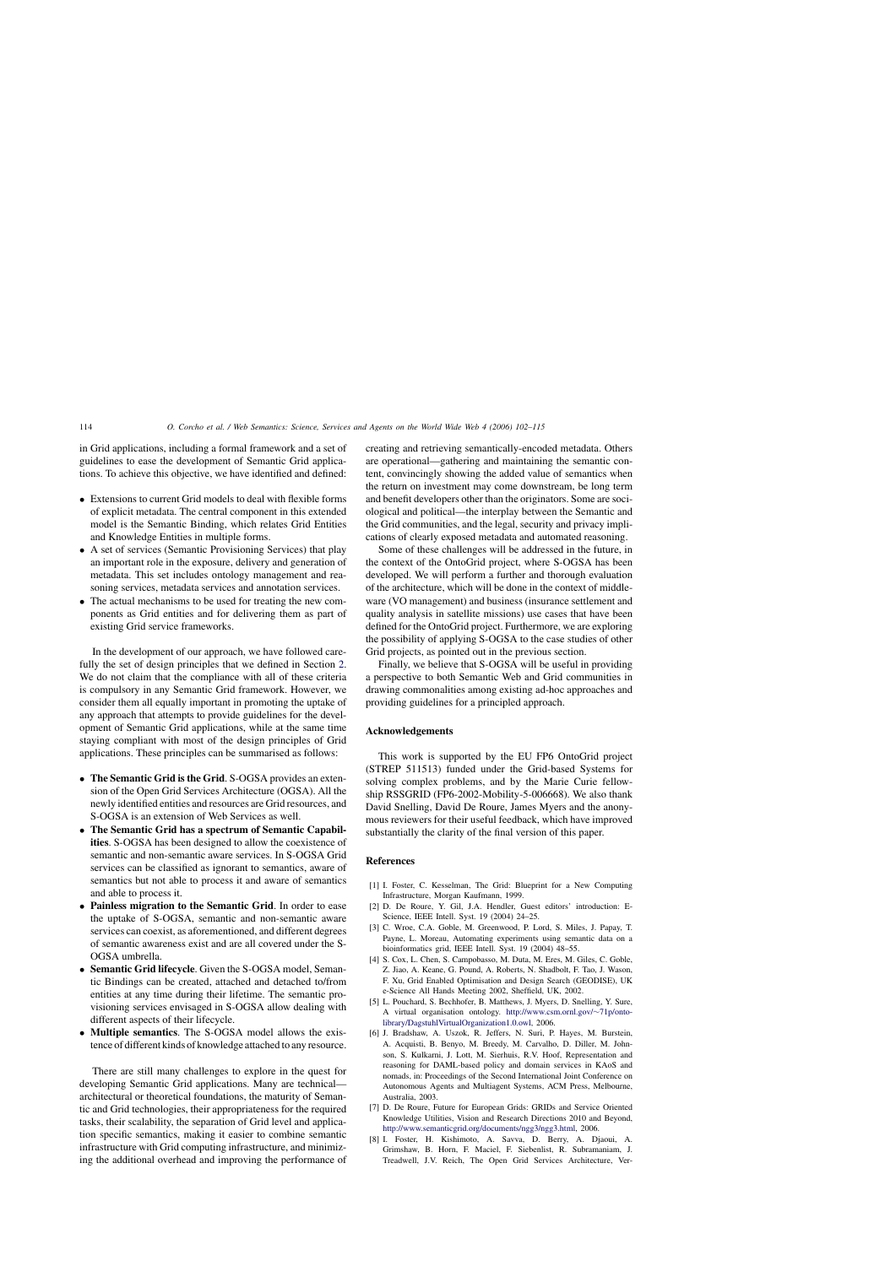<span id="page-12-0"></span>in Grid applications, including a formal framework and a set of guidelines to ease the development of Semantic Grid applications. To achieve this objective, we have identified and defined:

- Extensions to current Grid models to deal with flexible forms of explicit metadata. The central component in this extended model is the Semantic Binding, which relates Grid Entities and Knowledge Entities in multiple forms.
- A set of services (Semantic Provisioning Services) that play an important role in the exposure, delivery and generation of metadata. This set includes ontology management and reasoning services, metadata services and annotation services.
- The actual mechanisms to be used for treating the new components as Grid entities and for delivering them as part of existing Grid service frameworks.

In the development of our approach, we have followed carefully the set of design principles that we defined in Section [2.](#page-1-0) We do not claim that the compliance with all of these criteria is compulsory in any Semantic Grid framework. However, we consider them all equally important in promoting the uptake of any approach that attempts to provide guidelines for the development of Semantic Grid applications, while at the same time staying compliant with most of the design principles of Grid applications. These principles can be summarised as follows:

- **The Semantic Grid is the Grid**. S-OGSA provides an extension of the Open Grid Services Architecture (OGSA). All the newly identified entities and resources are Grid resources, and S-OGSA is an extension of Web Services as well.
- **The Semantic Grid has a spectrum of Semantic Capabilities**. S-OGSA has been designed to allow the coexistence of semantic and non-semantic aware services. In S-OGSA Grid services can be classified as ignorant to semantics, aware of semantics but not able to process it and aware of semantics and able to process it.
- **Painless migration to the Semantic Grid**. In order to ease the uptake of S-OGSA, semantic and non-semantic aware services can coexist, as aforementioned, and different degrees of semantic awareness exist and are all covered under the S-OGSA umbrella.
- **Semantic Grid lifecycle**. Given the S-OGSA model, Semantic Bindings can be created, attached and detached to/from entities at any time during their lifetime. The semantic provisioning services envisaged in S-OGSA allow dealing with different aspects of their lifecycle.
- **Multiple semantics**. The S-OGSA model allows the existence of different kinds of knowledge attached to any resource.

There are still many challenges to explore in the quest for developing Semantic Grid applications. Many are technical architectural or theoretical foundations, the maturity of Semantic and Grid technologies, their appropriateness for the required tasks, their scalability, the separation of Grid level and application specific semantics, making it easier to combine semantic infrastructure with Grid computing infrastructure, and minimizing the additional overhead and improving the performance of creating and retrieving semantically-encoded metadata. Others are operational—gathering and maintaining the semantic content, convincingly showing the added value of semantics when the return on investment may come downstream, be long term and benefit developers other than the originators. Some are sociological and political—the interplay between the Semantic and the Grid communities, and the legal, security and privacy implications of clearly exposed metadata and automated reasoning.

Some of these challenges will be addressed in the future, in the context of the OntoGrid project, where S-OGSA has been developed. We will perform a further and thorough evaluation of the architecture, which will be done in the context of middleware (VO management) and business (insurance settlement and quality analysis in satellite missions) use cases that have been defined for the OntoGrid project. Furthermore, we are exploring the possibility of applying S-OGSA to the case studies of other Grid projects, as pointed out in the previous section.

Finally, we believe that S-OGSA will be useful in providing a perspective to both Semantic Web and Grid communities in drawing commonalities among existing ad-hoc approaches and providing guidelines for a principled approach.

#### **Acknowledgements**

This work is supported by the EU FP6 OntoGrid project (STREP 511513) funded under the Grid-based Systems for solving complex problems, and by the Marie Curie fellowship RSSGRID (FP6-2002-Mobility-5-006668). We also thank David Snelling, David De Roure, James Myers and the anonymous reviewers for their useful feedback, which have improved substantially the clarity of the final version of this paper.

### **References**

- [1] I. Foster, C. Kesselman, The Grid: Blueprint for a New Computing Infrastructure, Morgan Kaufmann, 1999.
- [2] D. De Roure, Y. Gil, J.A. Hendler, Guest editors' introduction: E-Science, IEEE Intell. Syst. 19 (2004) 24–25.
- [3] C. Wroe, C.A. Goble, M. Greenwood, P. Lord, S. Miles, J. Papay, T. Payne, L. Moreau, Automating experiments using semantic data on a bioinformatics grid, IEEE Intell. Syst. 19 (2004) 48–55.
- [4] S. Cox, L. Chen, S. Campobasso, M. Duta, M. Eres, M. Giles, C. Goble, Z. Jiao, A. Keane, G. Pound, A. Roberts, N. Shadbolt, F. Tao, J. Wason, F. Xu, Grid Enabled Optimisation and Design Search (GEODISE), UK e-Science All Hands Meeting 2002, Sheffield, UK, 2002.
- [5] L. Pouchard, S. Bechhofer, B. Matthews, J. Myers, D. Snelling, Y. Sure, A virtual organisation ontology. [http://www.csm.ornl.gov/](http://www.csm.ornl.gov/~71p/onto-library/dagstuhlvirtualorganization1.0.owl)∼71p/ontolibrary/DagstuhlVirtualOrganization1.0.owl, 2006.
- [6] J. Bradshaw, A. Uszok, R. Jeffers, N. Suri, P. Hayes, M. Burstein, A. Acquisti, B. Benyo, M. Breedy, M. Carvalho, D. Diller, M. Johnson, S. Kulkarni, J. Lott, M. Sierhuis, R.V. Hoof, Representation and reasoning for DAML-based policy and domain services in KAoS and nomads, in: Proceedings of the Second International Joint Conference on Autonomous Agents and Multiagent Systems, ACM Press, Melbourne, Australia, 2003.
- [7] D. De Roure, Future for European Grids: GRIDs and Service Oriented Knowledge Utilities, Vision and Research Directions 2010 and Beyond, <http://www.semanticgrid.org/documents/ngg3/ngg3.html>, 2006.
- [8] I. Foster, H. Kishimoto, A. Savva, D. Berry, A. Djaoui, A. Grimshaw, B. Horn, F. Maciel, F. Siebenlist, R. Subramaniam, J. Treadwell, J.V. Reich, The Open Grid Services Architecture, Ver-